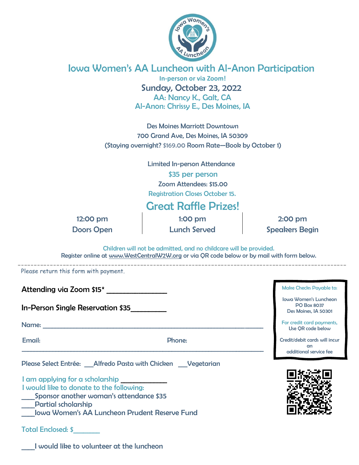

## Iowa Women's AA Luncheon with Al-Anon Participation

**In-person or via Zoom!** Sunday, October 23, 2022 AA: Nancy K., Galt, CA Al-Anon: Chrissy E., Des Moines, IA

Des Moines Marriott Downtown 700 Grand Ave, Des Moines, IA 50309 (Staying overnight? \$169.00 Room Rate—Book by October 1)

Limited In-person Attendance

\$35 per person Zoom Attendees: \$15.00 Registration Closes October 15.

## Great Raffle Prizes!

12:00 pm 1:00 pm 1:00 pm 2:00 pm Doors Open Sunch Served Speakers Begin

Children will not be admitted, and no childcare will be provided. Register online at www.WestCentralW2W.org or via QR code below or by mail with form below.

Please return this form with payment.

Attending via Zoom \$15\*

In-Person Single Reservation \$35\_\_\_\_\_\_\_\_\_\_

Name: \_\_\_\_\_\_\_\_\_\_\_\_\_\_\_\_\_\_\_\_\_\_\_\_\_\_\_\_\_\_\_\_\_\_\_\_\_\_\_\_\_\_\_\_\_\_\_\_\_\_\_\_\_\_\_\_\_\_\_\_\_\_\_\_\_\_\_\_\_\_\_\_

\_\_\_\_\_\_\_\_\_\_\_\_\_\_\_\_\_\_\_\_\_\_\_\_\_\_\_\_\_\_\_\_\_\_\_\_\_\_\_\_\_\_\_\_\_\_\_\_\_\_\_\_\_\_\_\_\_\_\_\_\_\_\_\_\_\_\_\_\_\_\_\_\_\_\_\_\_\_\_

Email: Phone:

Please Select Entrée: \_\_\_Alfredo Pasta with Chicken \_\_\_Vegetarian

I am applying for a scholarship I would like to donate to the following: Sponsor another woman's attendance \$35 \_\_\_\_Partial scholarship

\_\_\_\_Iowa Women's AA Luncheon Prudent Reserve Fund

Total Enclosed: \$\_\_\_\_\_\_\_\_



Make Checks Payable to: Iowa Women's Luncheon PO Box 8037 Des Moines, IA 50301 For credit card payments, Use QR code below Credit/debit cards will incur

\_\_\_\_I would like to volunteer at the luncheon